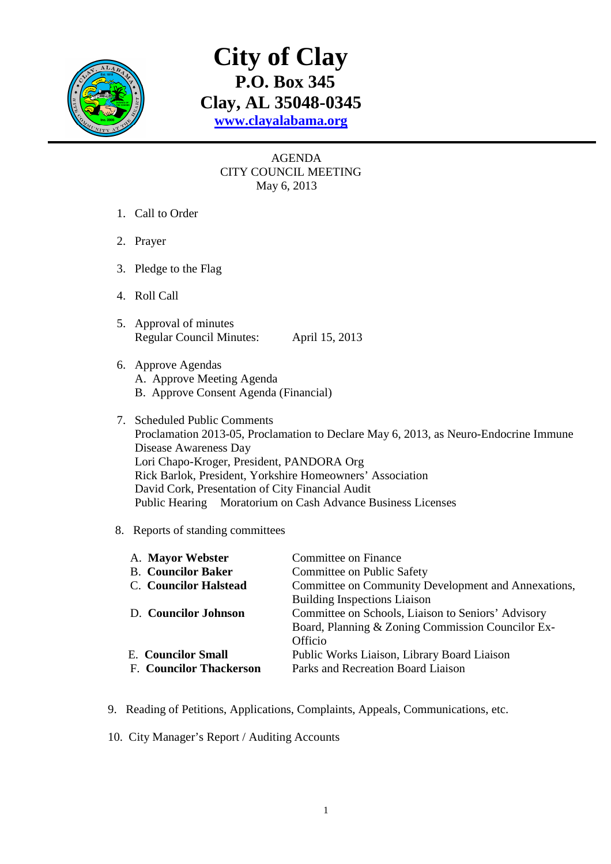

## **City of Clay P.O. Box 345 Clay, AL 35048-0345 www.clayalabama.org**

## AGENDA CITY COUNCIL MEETING May 6, 2013

- 1. Call to Order
- 2. Prayer
- 3. Pledge to the Flag
- 4. Roll Call
- 5. Approval of minutes Regular Council Minutes: April 15, 2013
- 6. Approve Agendas A. Approve Meeting Agenda B. Approve Consent Agenda (Financial)
- 7. Scheduled Public Comments Proclamation 2013-05, Proclamation to Declare May 6, 2013, as Neuro-Endocrine Immune Disease Awareness Day Lori Chapo-Kroger, President, PANDORA Org Rick Barlok, President, Yorkshire Homeowners' Association David Cork, Presentation of City Financial Audit Public Hearing Moratorium on Cash Advance Business Licenses

## 8. Reports of standing committees

| A. Mayor Webster               | Committee on Finance                                |  |
|--------------------------------|-----------------------------------------------------|--|
| <b>B.</b> Councilor Baker      | Committee on Public Safety                          |  |
| <b>C.</b> Councilor Halstead   | Committee on Community Development and Annexations, |  |
|                                | <b>Building Inspections Liaison</b>                 |  |
| D. Councilor Johnson           | Committee on Schools, Liaison to Seniors' Advisory  |  |
|                                | Board, Planning & Zoning Commission Councilor Ex-   |  |
|                                | Officio                                             |  |
| <b>E.</b> Councilor Small      | Public Works Liaison, Library Board Liaison         |  |
| <b>F. Councilor Thackerson</b> | Parks and Recreation Board Liaison                  |  |
|                                |                                                     |  |

- 9. Reading of Petitions, Applications, Complaints, Appeals, Communications, etc.
- 10. City Manager's Report / Auditing Accounts